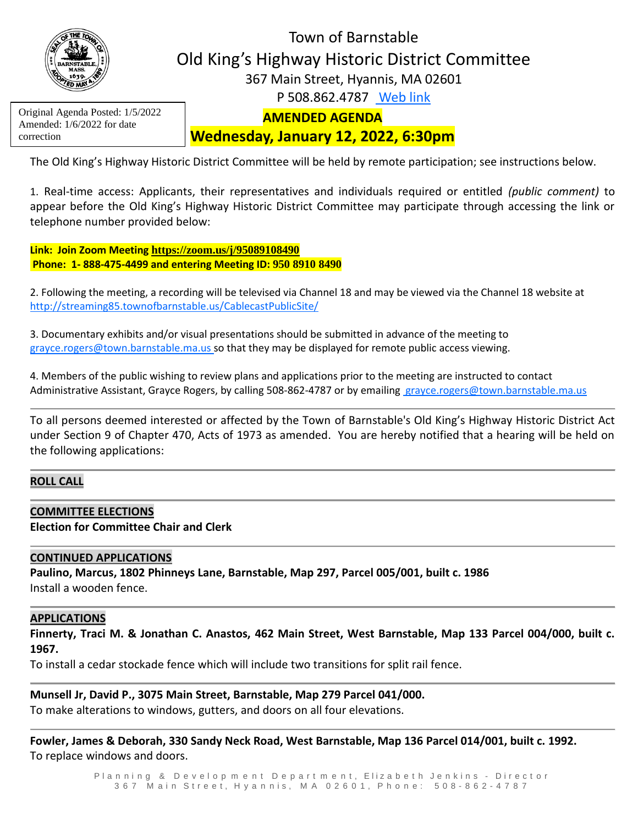

# Town of Barnstable Old King's Highway Historic District Committee 367 Main Street, Hyannis, MA 02601 P 508.862.4787 [Web link](https://tobweb.town.barnstable.ma.us/boardscommittees/OldKingsHighway/?brd=Old+King%27s+Highway&year=2021)

Original Agenda Posted: 1/5/2022 Amended: 1/6/2022 for date correction

# **AMENDED AGENDA**

## **Wednesday, January 12, 2022, 6:30pm**

The Old King's Highway Historic District Committee will be held by remote participation; see instructions below.

1. Real-time access: Applicants, their representatives and individuals required or entitled *(public comment)* to appear before the Old King's Highway Historic District Committee may participate through accessing the link or telephone number provided below:

**Link: Join Zoom Meeting <https://zoom.us/j/95089108490> Phone: 1- 888-475-4499 and entering Meeting ID: 950 8910 8490**

2. Following the meeting, a recording will be televised via Channel 18 and may be viewed via the Channel 18 website at <http://streaming85.townofbarnstable.us/CablecastPublicSite/>

3. Documentary exhibits and/or visual presentations should be submitted in advance of the meeting to grayce.rogers@town.barnstable.ma.us so that they may be displayed for remote public access viewing.

4. Members of the public wishing to review plans and applications prior to the meeting are instructed to contact Administrative Assistant, Grayce Rogers, by calling 508-862-4787 or by emailing [grayce.rogers@town.barnstable.ma.us](mailto:grayce.rogers@town.barnstable.ma.us)

To all persons deemed interested or affected by the Town of Barnstable's Old King's Highway Historic District Act under Section 9 of Chapter 470, Acts of 1973 as amended. You are hereby notified that a hearing will be held on the following applications:

### **ROLL CALL**

### **COMMITTEE ELECTIONS**

**Election for Committee Chair and Clerk**

#### **CONTINUED APPLICATIONS**

**Paulino, Marcus, 1802 Phinneys Lane, Barnstable, Map 297, Parcel 005/001, built c. 1986** Install a wooden fence.

### **APPLICATIONS**

**Finnerty, Traci M. & Jonathan C. Anastos, 462 Main Street, West Barnstable, Map 133 Parcel 004/000, built c. 1967.** 

To install a cedar stockade fence which will include two transitions for split rail fence.

#### **Munsell Jr, David P., 3075 Main Street, Barnstable, Map 279 Parcel 041/000.**

To make alterations to windows, gutters, and doors on all four elevations.

**Fowler, James & Deborah, 330 Sandy Neck Road, West Barnstable, Map 136 Parcel 014/001, built c. 1992.** To replace windows and doors.